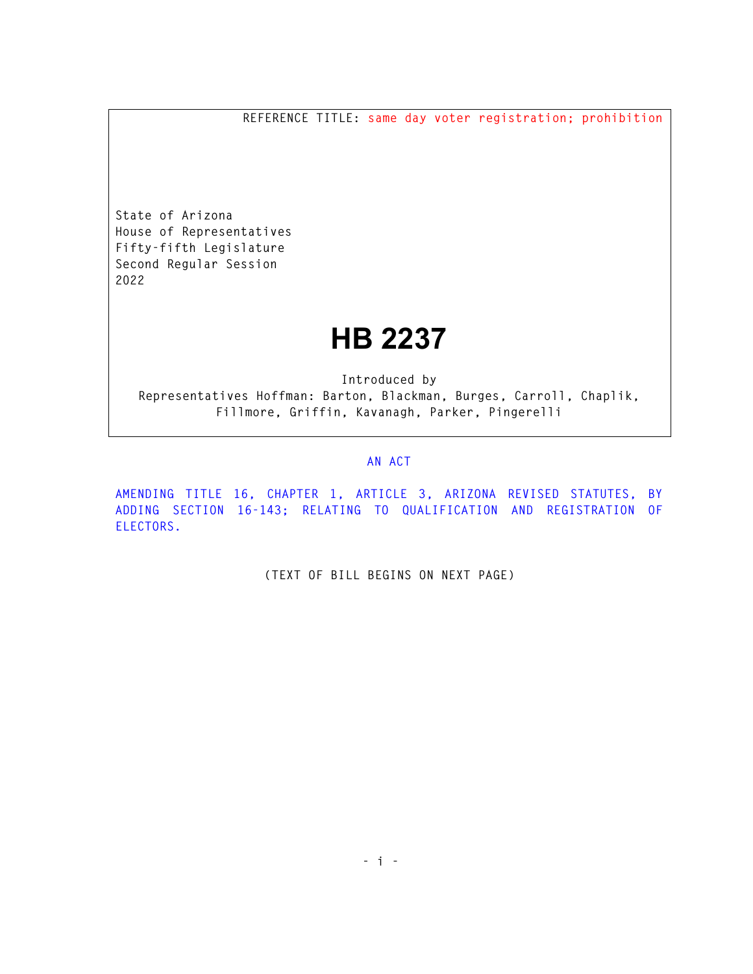**REFERENCE TITLE: same day voter registration; prohibition** 

**State of Arizona House of Representatives Fifty-fifth Legislature Second Regular Session 2022** 

## **HB 2237**

**Introduced by Representatives Hoffman: Barton, Blackman, Burges, Carroll, Chaplik, Fillmore, Griffin, Kavanagh, Parker, Pingerelli** 

## **AN ACT**

**AMENDING TITLE 16, CHAPTER 1, ARTICLE 3, ARIZONA REVISED STATUTES, BY ADDING SECTION 16-143; RELATING TO QUALIFICATION AND REGISTRATION OF ELECTORS.** 

**(TEXT OF BILL BEGINS ON NEXT PAGE)**